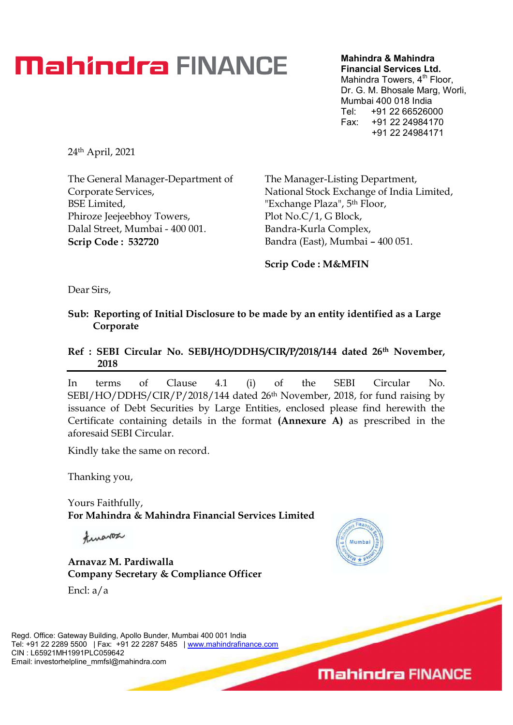## **Mahindra FINANCE**

Mahindra & Mahindra Financial Services Ltd. Mahindra Towers, 4<sup>th</sup> Floor, Dr. G. M. Bhosale Marg, Worli, Mumbai 400 018 India Tel: +91 22 66526000 Fax: +91 22 24984170

+91 22 24984171

24th April, 2021

The General Manager-Department of Corporate Services, BSE Limited, Phiroze Jeejeebhoy Towers, Dalal Street, Mumbai - 400 001. Scrip Code : 532720

The Manager-Listing Department, National Stock Exchange of India Limited,<br>"Exchange Plaza", 5<sup>th</sup> Floor, Plot No.C/1, G Block, Bandra-Kurla Complex, Bandra (East), Mumbai - 400 051.

Scrip Code : M&MFIN

Dear Sirs,

Sub: Reporting of Initial Disclosure to be made by an entity identified as a Large Corporate

#### Ref : SEBI Circular No. SEBI/HO/DDHS/CIR/P/2018/144 dated 26<sup>th</sup> November, 2018

In terms of Clause 4.1 (i) of the SEBI Circular No. SEBI/HO/DDHS/CIR/P/2018/144 dated 26<sup>th</sup> November, 2018, for fund raising by issuance of Debt Securities by Large Entities, enclosed please find herewith the Certificate containing details in the format (Annexure A) as prescribed in the aforesaid SEBI Circular.

Kindly take the same on record.

Thanking you,

Yours Faithfully, For Mahindra & Mahindra Financial Services Limited

finance

Arnavaz M. Pardiwalla Company Secretary & Compliance Officer

Encl: a/a

Regd. Office: Gateway Building, Apollo Bunder, Mumbai 400 001 India Tel: +91 22 2289 5500 | Fax: +91 22 2287 5485 | www.mahindrafinance.com CIN : L65921MH1991PLC059642 Email: investorhelpline\_mmfsl@mahindra.com



**Mahindra FINANCE**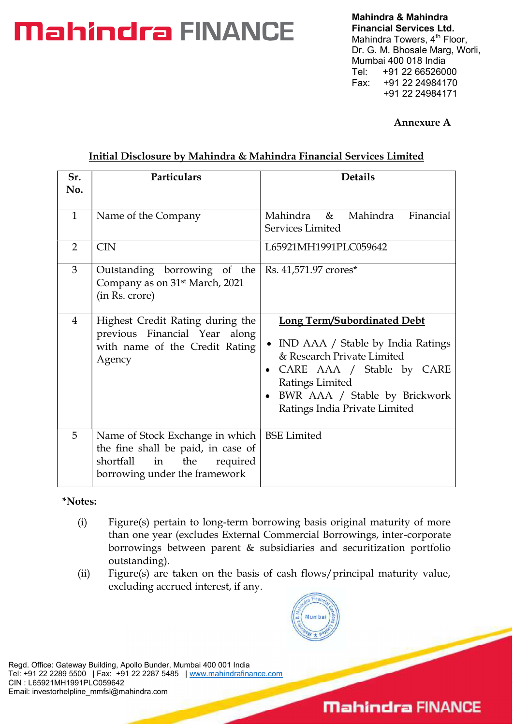# Mahindra & Mahindra<br>
Mahindra & Mahindra & Mahindra<br>
Mahindra Towers, 4<sup>th</sup> F<br>
Dr. G. M. Bhosale Marg<br>
Mumbai 400 018 India<br>
Tel: +91 22 6652600

Financial Services Ltd. Mahindra Towers, 4<sup>th</sup> Floor, Dr. G. M. Bhosale Marg, Worli, Mumbai 400 018 India +91 22 66526000 Fax: +91 22 24984170 +91 22 24984171

#### Annexure A

| Sr.<br>No.     | Particulars                                                                                                                                  | <b>Details</b>                                                                                                                                                                                                            |
|----------------|----------------------------------------------------------------------------------------------------------------------------------------------|---------------------------------------------------------------------------------------------------------------------------------------------------------------------------------------------------------------------------|
| $\mathbf{1}$   | Name of the Company                                                                                                                          | Mahindra<br>$\&$<br>Mahindra<br>Financial<br>Services Limited                                                                                                                                                             |
| $\overline{2}$ | <b>CIN</b>                                                                                                                                   | L65921MH1991PLC059642                                                                                                                                                                                                     |
| 3              | Outstanding borrowing of the<br>Company as on 31 <sup>st</sup> March, 2021<br>(in Rs. crore)                                                 | Rs. 41,571.97 crores*                                                                                                                                                                                                     |
| $\overline{4}$ | Highest Credit Rating during the<br>previous Financial Year along<br>with name of the Credit Rating<br>Agency                                | <b>Long Term/Subordinated Debt</b><br>• IND AAA / Stable by India Ratings<br>& Research Private Limited<br>CARE AAA / Stable by CARE<br>Ratings Limited<br>BWR AAA / Stable by Brickwork<br>Ratings India Private Limited |
| 5              | Name of Stock Exchange in which<br>the fine shall be paid, in case of<br>the<br>shortfall<br>in<br>required<br>borrowing under the framework | <b>BSE</b> Limited                                                                                                                                                                                                        |

#### Initial Disclosure by Mahindra & Mahindra Financial Services Limited

#### \*Notes:

- (i) Figure(s) pertain to long-term borrowing basis original maturity of more than one year (excludes External Commercial Borrowings, inter-corporate borrowings between parent & subsidiaries and securitization portfolio outstanding).
- (ii) Figure(s) are taken on the basis of cash flows/principal maturity value, excluding accrued interest, if any.



Regd. Office: Gateway Building, Apollo Bunder, Mumbai 400 001 India Tel: +91 22 2289 5500 | Fax: +91 22 2287 5485 | www.mahindrafinance.com CIN : L65921MH1991PLC059642 Email: investorhelpline\_mmfsl@mahindra.com

### **Mahindra FINANCE**